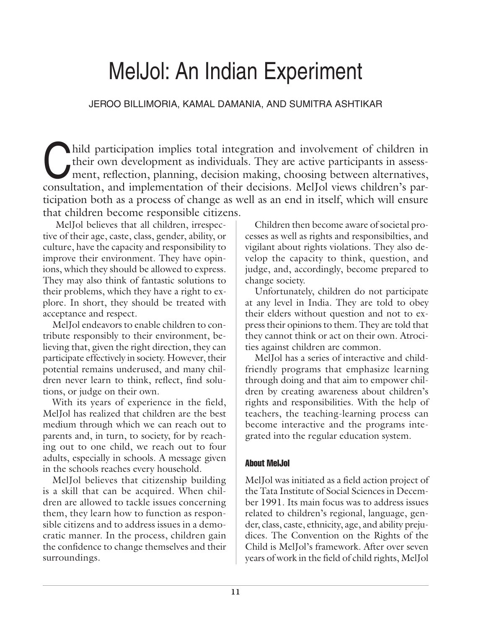# MelJol: An Indian Experiment

# JEROO BILLIMORIA, KAMAL DAMANIA, AND SUMITRA ASHTIKAR

hild participation implies total integration and involvement of children in their own development as individuals. They are active participants in assessment, reflection, planning, decision making, choosing between alternat their own development as individuals. They are active participants in assessconsultation, and implementation of their decisions. MelJol views children's participation both as a process of change as well as an end in itself, which will ensure that children become responsible citizens.

 MelJol believes that all children, irrespective of their age, caste, class, gender, ability, or culture, have the capacity and responsibility to improve their environment. They have opinions, which they should be allowed to express. They may also think of fantastic solutions to their problems, which they have a right to explore. In short, they should be treated with acceptance and respect.

MelJol endeavors to enable children to contribute responsibly to their environment, believing that, given the right direction, they can participate effectively in society. However, their potential remains underused, and many children never learn to think, reflect, find solutions, or judge on their own.

With its years of experience in the field, MelJol has realized that children are the best medium through which we can reach out to parents and, in turn, to society, for by reaching out to one child, we reach out to four adults, especially in schools. A message given in the schools reaches every household.

MelJol believes that citizenship building is a skill that can be acquired. When children are allowed to tackle issues concerning them, they learn how to function as responsible citizens and to address issues in a democratic manner. In the process, children gain the confidence to change themselves and their surroundings.

Children then become aware of societal processes as well as rights and responsibilties, and vigilant about rights violations. They also develop the capacity to think, question, and judge, and, accordingly, become prepared to change society.

Unfortunately, children do not participate at any level in India. They are told to obey their elders without question and not to express their opinions to them. They are told that they cannot think or act on their own. Atrocities against children are common.

MelJol has a series of interactive and childfriendly programs that emphasize learning through doing and that aim to empower children by creating awareness about children's rights and responsibilities. With the help of teachers, the teaching-learning process can become interactive and the programs integrated into the regular education system.

# About MelJol

MelJol was initiated as a field action project of the Tata Institute of Social Sciences in December 1991. Its main focus was to address issues related to children's regional, language, gender, class, caste, ethnicity, age, and ability prejudices. The Convention on the Rights of the Child is MelJol's framework. After over seven years of work in the field of child rights, MelJol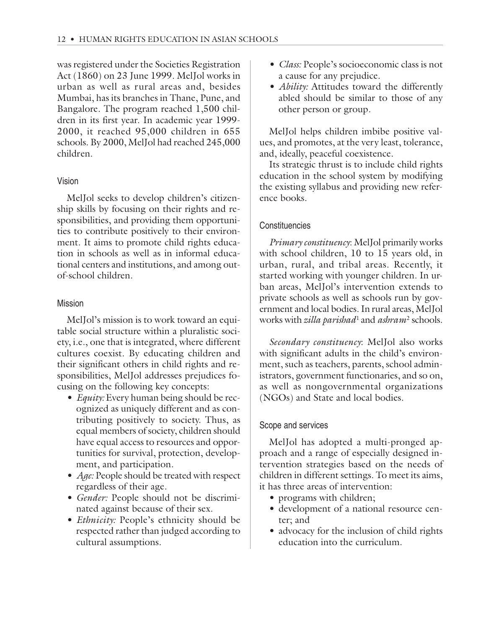was registered under the Societies Registration Act (1860) on 23 June 1999. MelJol works in urban as well as rural areas and, besides Mumbai, has its branches in Thane, Pune, and Bangalore. The program reached 1,500 children in its first year. In academic year 1999- 2000, it reached 95,000 children in 655 schools. By 2000, MelJol had reached 245,000 children.

## Vision

MelJol seeks to develop children's citizenship skills by focusing on their rights and responsibilities, and providing them opportunities to contribute positively to their environment. It aims to promote child rights education in schools as well as in informal educational centers and institutions, and among outof-school children.

## Mission

MelJol's mission is to work toward an equitable social structure within a pluralistic society, i.e., one that is integrated, where different cultures coexist. By educating children and their significant others in child rights and responsibilities, MelJol addresses prejudices focusing on the following key concepts:

- *Equity:* Every human being should be recognized as uniquely different and as contributing positively to society. Thus, as equal members of society, children should have equal access to resources and opportunities for survival, protection, development, and participation.
- *Age:* People should be treated with respect regardless of their age.
- *Gender:* People should not be discriminated against because of their sex.
- *Ethnicity:* People's ethnicity should be respected rather than judged according to cultural assumptions.
- *Class:* People's socioeconomic class is not a cause for any prejudice.
- *Ability:* Attitudes toward the differently abled should be similar to those of any other person or group.

MelJol helps children imbibe positive values, and promotes, at the very least, tolerance, and, ideally, peaceful coexistence.

Its strategic thrust is to include child rights education in the school system by modifying the existing syllabus and providing new reference books.

## **Constituencies**

*Primary constituency*: MelJol primarily works with school children, 10 to 15 years old, in urban, rural, and tribal areas. Recently, it started working with younger children. In urban areas, MelJol's intervention extends to private schools as well as schools run by government and local bodies. In rural areas, MelJol works with *zilla parishad*<sup>1</sup> and *ashram*2 schools.

*Secondary constituency*: MelJol also works with significant adults in the child's environment, such as teachers, parents, school administrators, government functionaries, and so on, as well as nongovernmental organizations (NGOs) and State and local bodies.

#### Scope and services

MelJol has adopted a multi-pronged approach and a range of especially designed intervention strategies based on the needs of children in different settings. To meet its aims, it has three areas of intervention:

- programs with children;
- development of a national resource center; and
- advocacy for the inclusion of child rights education into the curriculum.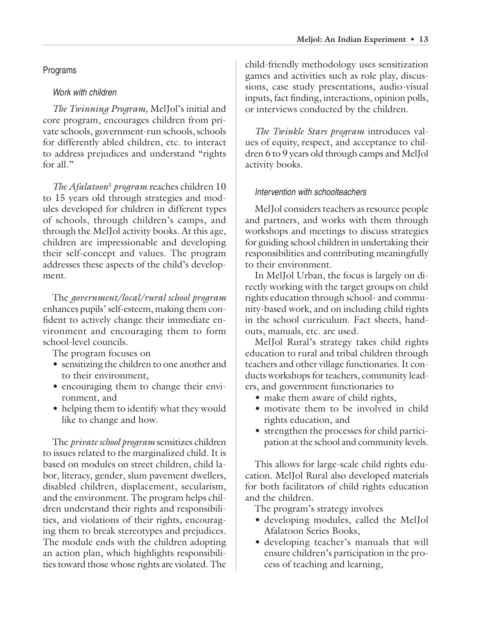# Programs

# Work with children

*The Twinning Program,* MelJol's initial and core program, encourages children from private schools, government-run schools, schools for differently abled children, etc. to interact to address prejudices and understand "rights for all."

*The Afalatoon*<sup>3</sup> *program* reaches children 10 to 15 years old through strategies and modules developed for children in different types of schools, through children's camps, and through the MelJol activity books. At this age, children are impressionable and developing their self-concept and values. The program addresses these aspects of the child's development.

The *government/local/rural school program* enhances pupils' self-esteem, making them confident to actively change their immediate environment and encouraging them to form school-level councils.

The program focuses on

- sensitizing the children to one another and to their environment,
- encouraging them to change their environment, and
- helping them to identify what they would like to change and how.

The *private school program* sensitizes children to issues related to the marginalized child. It is based on modules on street children, child labor, literacy, gender, slum pavement dwellers, disabled children, displacement, secularism, and the environment. The program helps children understand their rights and responsibilities, and violations of their rights, encouraging them to break stereotypes and prejudices. The module ends with the children adopting an action plan, which highlights responsibilities toward those whose rights are violated. The

child-friendly methodology uses sensitization games and activities such as role play, discussions, case study presentations, audio-visual inputs, fact finding, interactions, opinion polls, or interviews conducted by the children.

*The Twinkle Stars program* introduces values of equity, respect, and acceptance to children 6 to 9 years old through camps and MelJol activity books.

# Intervention with schoolteachers

MelJol considers teachers as resource people and partners, and works with them through workshops and meetings to discuss strategies for guiding school children in undertaking their responsibilities and contributing meaningfully to their environment.

In MelJol Urban, the focus is largely on directly working with the target groups on child rights education through school- and community-based work, and on including child rights in the school curriculum. Fact sheets, handouts, manuals, etc. are used.

MelJol Rural's strategy takes child rights education to rural and tribal children through teachers and other village functionaries. It conducts workshops for teachers, community leaders, and government functionaries to

- make them aware of child rights,
- motivate them to be involved in child rights education, and
- strengthen the processes for child participation at the school and community levels.

This allows for large-scale child rights education. MelJol Rural also developed materials for both facilitators of child rights education and the children.

The program's strategy involves

- developing modules, called the MelJol Afalatoon Series Books,
- developing teacher's manuals that will ensure children's participation in the process of teaching and learning,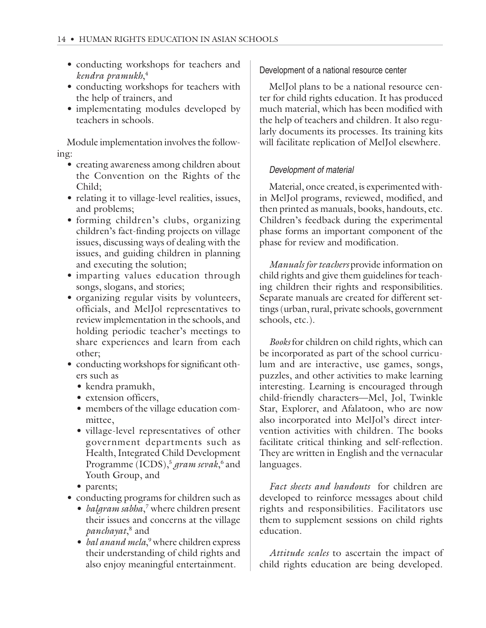- conducting workshops for teachers and *kendra pramukh*, 4
- conducting workshops for teachers with the help of trainers, and
- implementating modules developed by teachers in schools.

Module implementation involves the following:

- creating awareness among children about the Convention on the Rights of the Child;
- relating it to village-level realities, issues, and problems;
- forming children's clubs, organizing children's fact-finding projects on village issues, discussing ways of dealing with the issues, and guiding children in planning and executing the solution;
- imparting values education through songs, slogans, and stories;
- organizing regular visits by volunteers, officials, and MelJol representatives to review implementation in the schools, and holding periodic teacher's meetings to share experiences and learn from each other;
- conducting workshops for significant others such as
	- *•* kendra pramukh,
	- extension officers,
	- members of the village education committee,
	- village-level representatives of other government departments such as Health, Integrated Child Development Programme (ICDS),<sup>5</sup> gram sevak,<sup>6</sup> and Youth Group, and
	- parents;
- conducting programs for children such as
	- *balgram sabha*, 7 where children present their issues and concerns at the village *panchayat*, 8 and
	- *bal anand mela*,<sup>9</sup> where children express their understanding of child rights and also enjoy meaningful entertainment.

Development of a national resource center

MelJol plans to be a national resource center for child rights education. It has produced much material, which has been modified with the help of teachers and children. It also regularly documents its processes. Its training kits will facilitate replication of MelJol elsewhere.

# Development of material

Material, once created, is experimented within MelJol programs, reviewed, modified, and then printed as manuals, books, handouts, etc. Children's feedback during the experimental phase forms an important component of the phase for review and modification.

*Manuals for teachers* provide information on child rights and give them guidelines for teaching children their rights and responsibilities. Separate manuals are created for different settings (urban, rural, private schools, government schools, etc.).

*Books* for children on child rights, which can be incorporated as part of the school curriculum and are interactive, use games, songs, puzzles, and other activities to make learning interesting. Learning is encouraged through child-friendly characters—Mel, Jol, Twinkle Star, Explorer, and Afalatoon, who are now also incorporated into MelJol's direct intervention activities with children. The books facilitate critical thinking and self-reflection. They are written in English and the vernacular languages.

*Fact sheets and handouts* for children are developed to reinforce messages about child rights and responsibilities. Facilitators use them to supplement sessions on child rights education.

*Attitude scales* to ascertain the impact of child rights education are being developed.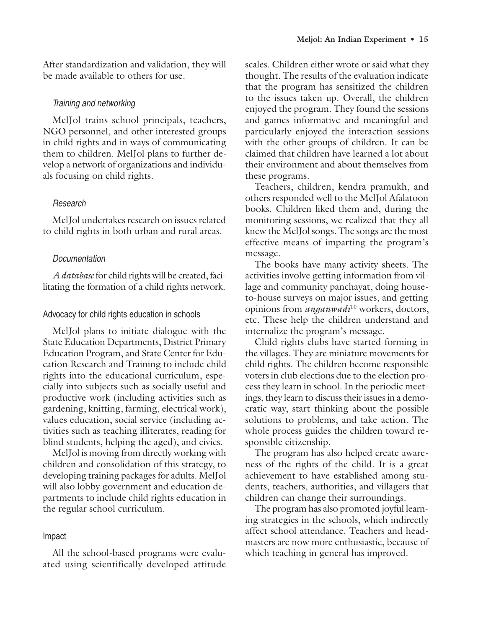After standardization and validation, they will be made available to others for use.

## Training and networking

MelJol trains school principals, teachers, NGO personnel, and other interested groups in child rights and in ways of communicating them to children. MelJol plans to further develop a network of organizations and individuals focusing on child rights.

## Research

MelJol undertakes research on issues related to child rights in both urban and rural areas.

## Documentation

*A database* for child rights will be created, facilitating the formation of a child rights network.

## Advocacy for child rights education in schools

MelJol plans to initiate dialogue with the State Education Departments, District Primary Education Program, and State Center for Education Research and Training to include child rights into the educational curriculum, especially into subjects such as socially useful and productive work (including activities such as gardening, knitting, farming, electrical work), values education, social service (including activities such as teaching illiterates, reading for blind students, helping the aged), and civics.

MelJol is moving from directly working with children and consolidation of this strategy, to developing training packages for adults. MelJol will also lobby government and education departments to include child rights education in the regular school curriculum.

## Impact

All the school-based programs were evaluated using scientifically developed attitude scales. Children either wrote or said what they thought. The results of the evaluation indicate that the program has sensitized the children to the issues taken up. Overall, the children enjoyed the program. They found the sessions and games informative and meaningful and particularly enjoyed the interaction sessions with the other groups of children. It can be claimed that children have learned a lot about their environment and about themselves from these programs.

Teachers, children, kendra pramukh, and others responded well to the MelJol Afalatoon books. Children liked them and, during the monitoring sessions, we realized that they all knew the MelJol songs. The songs are the most effective means of imparting the program's message.

The books have many activity sheets. The activities involve getting information from village and community panchayat, doing houseto-house surveys on major issues, and getting opinions from *anganwadi*10 workers, doctors, etc. These help the children understand and internalize the program's message.

Child rights clubs have started forming in the villages. They are miniature movements for child rights. The children become responsible voters in club elections due to the election process they learn in school. In the periodic meetings, they learn to discuss their issues in a democratic way, start thinking about the possible solutions to problems, and take action. The whole process guides the children toward responsible citizenship.

The program has also helped create awareness of the rights of the child. It is a great achievement to have established among students, teachers, authorities, and villagers that children can change their surroundings.

The program has also promoted joyful learning strategies in the schools, which indirectly affect school attendance. Teachers and headmasters are now more enthusiastic, because of which teaching in general has improved.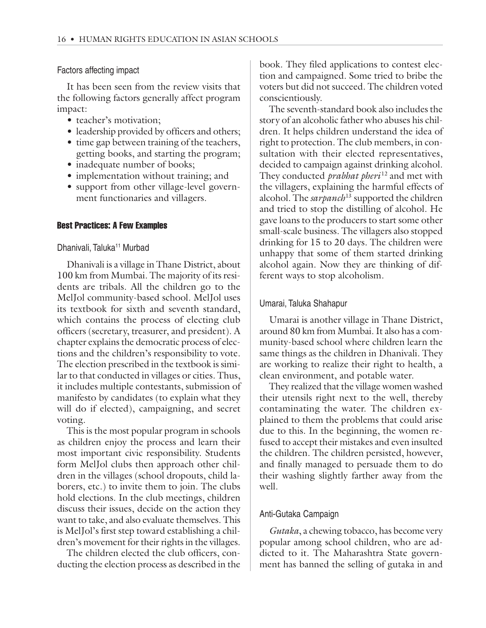Factors affecting impact

It has been seen from the review visits that the following factors generally affect program impact:

- teacher's motivation;
- leadership provided by officers and others;
- time gap between training of the teachers, getting books, and starting the program;
- inadequate number of books;
- implementation without training; and
- support from other village-level government functionaries and villagers.

## Best Practices: A Few Examples

## Dhanivali, Taluka<sup>11</sup> Murbad

Dhanivali is a village in Thane District, about 100 km from Mumbai. The majority of its residents are tribals. All the children go to the MelJol community-based school. MelJol uses its textbook for sixth and seventh standard, which contains the process of electing club officers (secretary, treasurer, and president). A chapter explains the democratic process of elections and the children's responsibility to vote. The election prescribed in the textbook is similar to that conducted in villages or cities. Thus, it includes multiple contestants, submission of manifesto by candidates (to explain what they will do if elected), campaigning, and secret voting.

This is the most popular program in schools as children enjoy the process and learn their most important civic responsibility. Students form MelJol clubs then approach other children in the villages (school dropouts, child laborers, etc.) to invite them to join. The clubs hold elections. In the club meetings, children discuss their issues, decide on the action they want to take, and also evaluate themselves. This is MelJol's first step toward establishing a children's movement for their rights in the villages.

The children elected the club officers, conducting the election process as described in the book. They filed applications to contest election and campaigned. Some tried to bribe the voters but did not succeed. The children voted conscientiously.

The seventh-standard book also includes the story of an alcoholic father who abuses his children. It helps children understand the idea of right to protection. The club members, in consultation with their elected representatives, decided to campaign against drinking alcohol. They conducted *prabhat pheri*<sup>12</sup> and met with the villagers, explaining the harmful effects of alcohol. The *sarpanch*<sup>13</sup> supported the children and tried to stop the distilling of alcohol. He gave loans to the producers to start some other small-scale business. The villagers also stopped drinking for 15 to 20 days. The children were unhappy that some of them started drinking alcohol again. Now they are thinking of different ways to stop alcoholism.

## Umarai, Taluka Shahapur

Umarai is another village in Thane District, around 80 km from Mumbai. It also has a community-based school where children learn the same things as the children in Dhanivali. They are working to realize their right to health, a clean environment, and potable water.

They realized that the village women washed their utensils right next to the well, thereby contaminating the water. The children explained to them the problems that could arise due to this. In the beginning, the women refused to accept their mistakes and even insulted the children. The children persisted, however, and finally managed to persuade them to do their washing slightly farther away from the well.

# Anti-Gutaka Campaign

*Gutaka*, a chewing tobacco, has become very popular among school children, who are addicted to it. The Maharashtra State government has banned the selling of gutaka in and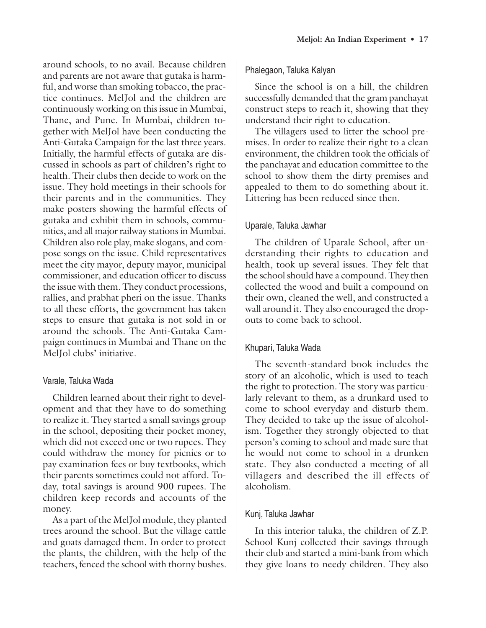around schools, to no avail. Because children and parents are not aware that gutaka is harmful, and worse than smoking tobacco, the practice continues. MelJol and the children are continuously working on this issue in Mumbai, Thane, and Pune. In Mumbai, children together with MelJol have been conducting the Anti-Gutaka Campaign for the last three years. Initially, the harmful effects of gutaka are discussed in schools as part of children's right to health. Their clubs then decide to work on the issue. They hold meetings in their schools for their parents and in the communities. They make posters showing the harmful effects of gutaka and exhibit them in schools, communities, and all major railway stations in Mumbai. Children also role play, make slogans, and compose songs on the issue. Child representatives meet the city mayor, deputy mayor, municipal commissioner, and education officer to discuss the issue with them. They conduct processions, rallies, and prabhat pheri on the issue. Thanks to all these efforts, the government has taken steps to ensure that gutaka is not sold in or around the schools. The Anti-Gutaka Campaign continues in Mumbai and Thane on the MelJol clubs' initiative.

#### Varale, Taluka Wada

Children learned about their right to development and that they have to do something to realize it. They started a small savings group in the school, depositing their pocket money, which did not exceed one or two rupees. They could withdraw the money for picnics or to pay examination fees or buy textbooks, which their parents sometimes could not afford. Today, total savings is around 900 rupees. The children keep records and accounts of the money.

As a part of the MelJol module, they planted trees around the school. But the village cattle and goats damaged them. In order to protect the plants, the children, with the help of the teachers, fenced the school with thorny bushes.

#### Phalegaon, Taluka Kalyan

Since the school is on a hill, the children successfully demanded that the gram panchayat construct steps to reach it, showing that they understand their right to education.

The villagers used to litter the school premises. In order to realize their right to a clean environment, the children took the officials of the panchayat and education committee to the school to show them the dirty premises and appealed to them to do something about it. Littering has been reduced since then.

#### Uparale, Taluka Jawhar

The children of Uparale School, after understanding their rights to education and health, took up several issues. They felt that the school should have a compound. They then collected the wood and built a compound on their own, cleaned the well, and constructed a wall around it. They also encouraged the dropouts to come back to school.

#### Khupari, Taluka Wada

The seventh-standard book includes the story of an alcoholic, which is used to teach the right to protection. The story was particularly relevant to them, as a drunkard used to come to school everyday and disturb them. They decided to take up the issue of alcoholism. Together they strongly objected to that person's coming to school and made sure that he would not come to school in a drunken state. They also conducted a meeting of all villagers and described the ill effects of alcoholism.

#### Kunj, Taluka Jawhar

In this interior taluka, the children of Z.P. School Kunj collected their savings through their club and started a mini-bank from which they give loans to needy children. They also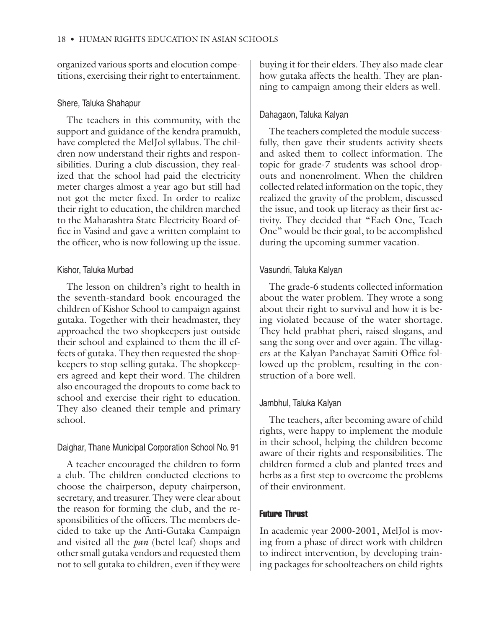organized various sports and elocution competitions, exercising their right to entertainment.

## Shere, Taluka Shahapur

The teachers in this community, with the support and guidance of the kendra pramukh, have completed the MelJol syllabus. The children now understand their rights and responsibilities. During a club discussion, they realized that the school had paid the electricity meter charges almost a year ago but still had not got the meter fixed. In order to realize their right to education, the children marched to the Maharashtra State Electricity Board office in Vasind and gave a written complaint to the officer, who is now following up the issue.

## Kishor, Taluka Murbad

The lesson on children's right to health in the seventh-standard book encouraged the children of Kishor School to campaign against gutaka. Together with their headmaster, they approached the two shopkeepers just outside their school and explained to them the ill effects of gutaka. They then requested the shopkeepers to stop selling gutaka. The shopkeepers agreed and kept their word. The children also encouraged the dropouts to come back to school and exercise their right to education. They also cleaned their temple and primary school.

## Daighar, Thane Municipal Corporation School No. 91

A teacher encouraged the children to form a club. The children conducted elections to choose the chairperson, deputy chairperson, secretary, and treasurer. They were clear about the reason for forming the club, and the responsibilities of the officers. The members decided to take up the Anti-Gutaka Campaign and visited all the *pan* (betel leaf) shops and other small gutaka vendors and requested them not to sell gutaka to children, even if they were

buying it for their elders. They also made clear how gutaka affects the health. They are planning to campaign among their elders as well.

# Dahagaon, Taluka Kalyan

The teachers completed the module successfully, then gave their students activity sheets and asked them to collect information. The topic for grade-7 students was school dropouts and nonenrolment. When the children collected related information on the topic, they realized the gravity of the problem, discussed the issue, and took up literacy as their first activity. They decided that "Each One, Teach One" would be their goal, to be accomplished during the upcoming summer vacation.

# Vasundri, Taluka Kalyan

The grade-6 students collected information about the water problem. They wrote a song about their right to survival and how it is being violated because of the water shortage. They held prabhat pheri, raised slogans, and sang the song over and over again. The villagers at the Kalyan Panchayat Samiti Office followed up the problem, resulting in the construction of a bore well.

# Jambhul, Taluka Kalyan

The teachers, after becoming aware of child rights, were happy to implement the module in their school, helping the children become aware of their rights and responsibilities. The children formed a club and planted trees and herbs as a first step to overcome the problems of their environment.

# Future Thrust

In academic year 2000-2001, MelJol is moving from a phase of direct work with children to indirect intervention, by developing training packages for schoolteachers on child rights